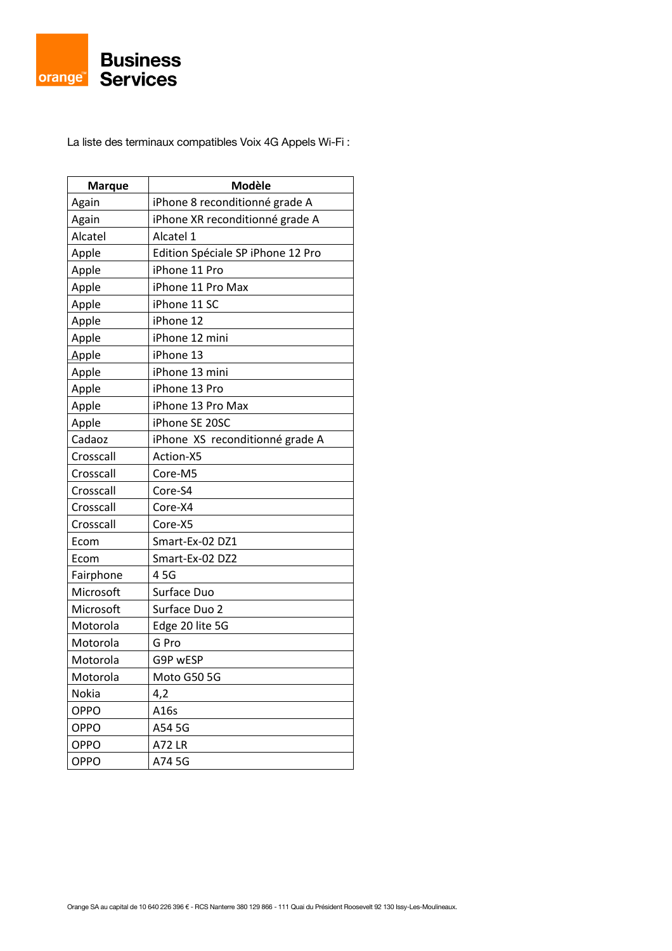La liste des terminaux compatibles Voix 4G Appels Wi-Fi :

| <b>Marque</b> | Modèle                            |
|---------------|-----------------------------------|
| Again         | iPhone 8 reconditionné grade A    |
| Again         | iPhone XR reconditionné grade A   |
| Alcatel       | Alcatel 1                         |
| Apple         | Edition Spéciale SP iPhone 12 Pro |
| Apple         | iPhone 11 Pro                     |
| Apple         | iPhone 11 Pro Max                 |
| Apple         | iPhone 11 SC                      |
| Apple         | iPhone 12                         |
| Apple         | iPhone 12 mini                    |
| Apple         | iPhone 13                         |
| Apple         | iPhone 13 mini                    |
| Apple         | iPhone 13 Pro                     |
| Apple         | iPhone 13 Pro Max                 |
| Apple         | iPhone SE 20SC                    |
| Cadaoz        | iPhone XS reconditionné grade A   |
| Crosscall     | Action-X5                         |
| Crosscall     | Core-M5                           |
| Crosscall     | Core-S4                           |
| Crosscall     | Core-X4                           |
| Crosscall     | Core-X5                           |
| Ecom          | Smart-Ex-02 DZ1                   |
| Ecom          | Smart-Ex-02 DZ2                   |
| Fairphone     | 45G                               |
| Microsoft     | Surface Duo                       |
| Microsoft     | Surface Duo 2                     |
| Motorola      | Edge 20 lite 5G                   |
| Motorola      | G Pro                             |
| Motorola      | G9P wESP                          |
| Motorola      | Moto G50 5G                       |
| Nokia         | 4,2                               |
| OPPO          | A16s                              |
| <b>OPPO</b>   | A54 5G                            |
| OPPO          | A72 LR                            |
| OPPO          | A74 5G                            |